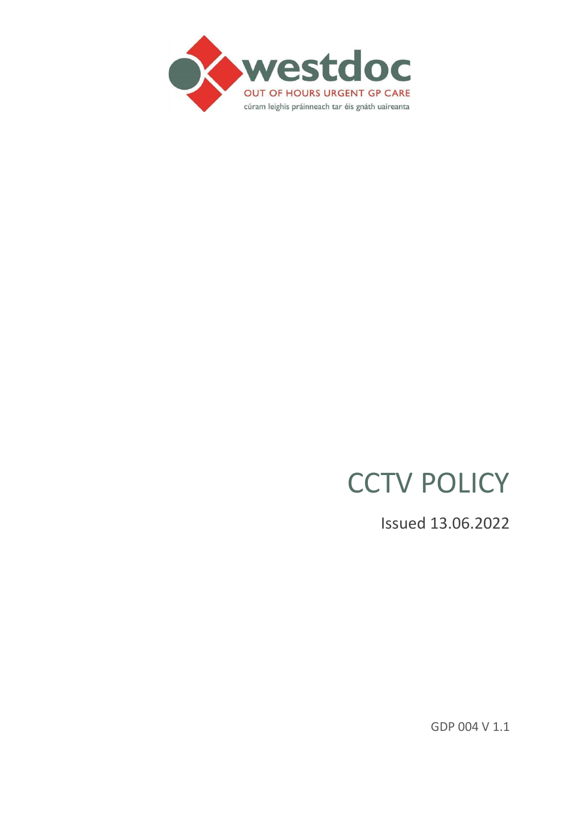

# **CCTV POLICY**

Issued 13.06.2022

GDP 004 V 1.1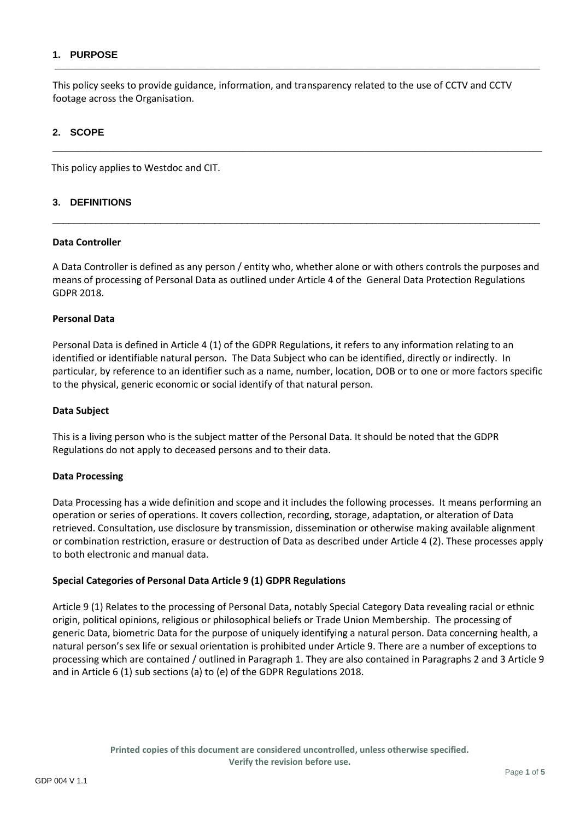## **1. PURPOSE**

This policy seeks to provide guidance, information, and transparency related to the use of CCTV and CCTV footage across the Organisation.

\_\_\_\_\_\_\_\_\_\_\_\_\_\_\_\_\_\_\_\_\_\_\_\_\_\_\_\_\_\_\_\_\_\_\_\_\_\_\_\_\_\_\_\_\_\_\_\_\_\_\_\_\_\_\_\_\_\_\_\_\_\_\_\_\_\_\_\_\_\_\_\_\_\_\_\_\_\_\_\_\_\_\_\_\_\_\_\_\_\_\_\_\_\_\_\_\_\_\_\_\_\_\_\_\_\_\_\_\_\_\_\_\_

 $\mathcal{L}_\text{max}$  , and the contribution of the contribution of the contribution of the contribution of the contribution of the contribution of the contribution of the contribution of the contribution of the contribution of t

## **2. SCOPE**

This policy applies to Westdoc and CIT.

### **3. DEFINITIONS**

#### **Data Controller**

A Data Controller is defined as any person / entity who, whether alone or with others controls the purposes and means of processing of Personal Data as outlined under Article 4 of the General Data Protection Regulations GDPR 2018.

\_\_\_\_\_\_\_\_\_\_\_\_\_\_\_\_\_\_\_\_\_\_\_\_\_\_\_\_\_\_\_\_\_\_\_\_\_\_\_\_\_\_\_\_\_\_\_\_\_\_\_\_\_\_\_\_\_\_\_\_\_\_\_\_\_\_\_\_\_\_\_\_\_\_\_\_\_\_\_\_\_\_\_\_\_\_\_\_\_\_

#### **Personal Data**

Personal Data is defined in Article 4 (1) of the GDPR Regulations, it refers to any information relating to an identified or identifiable natural person. The Data Subject who can be identified, directly or indirectly. In particular, by reference to an identifier such as a name, number, location, DOB or to one or more factors specific to the physical, generic economic or social identify of that natural person.

#### **Data Subject**

This is a living person who is the subject matter of the Personal Data. It should be noted that the GDPR Regulations do not apply to deceased persons and to their data.

#### **Data Processing**

Data Processing has a wide definition and scope and it includes the following processes. It means performing an operation or series of operations. It covers collection, recording, storage, adaptation, or alteration of Data retrieved. Consultation, use disclosure by transmission, dissemination or otherwise making available alignment or combination restriction, erasure or destruction of Data as described under Article 4 (2). These processes apply to both electronic and manual data.

## **Special Categories of Personal Data Article 9 (1) GDPR Regulations**

Article 9 (1) Relates to the processing of Personal Data, notably Special Category Data revealing racial or ethnic origin, political opinions, religious or philosophical beliefs or Trade Union Membership. The processing of generic Data, biometric Data for the purpose of uniquely identifying a natural person. Data concerning health, a natural person's sex life or sexual orientation is prohibited under Article 9. There are a number of exceptions to processing which are contained / outlined in Paragraph 1. They are also contained in Paragraphs 2 and 3 Article 9 and in Article 6 (1) sub sections (a) to (e) of the GDPR Regulations 2018.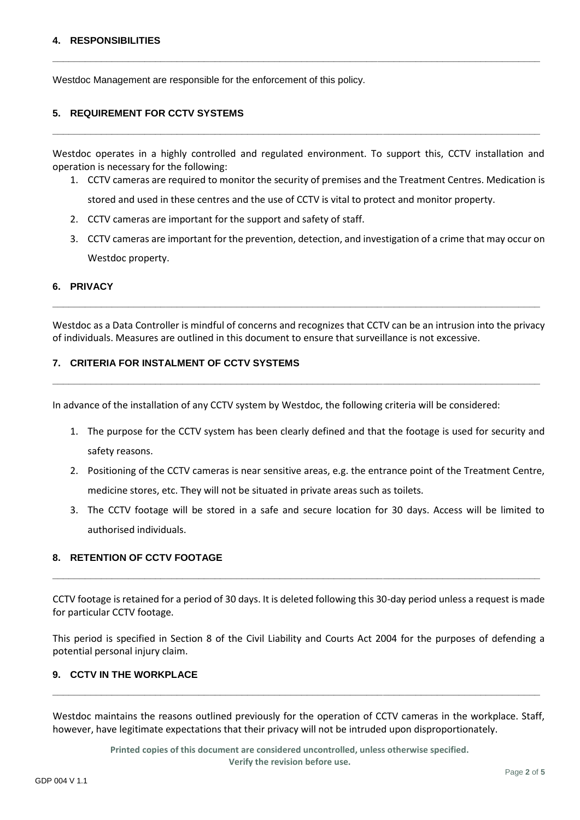### **4. RESPONSIBILITIES**

Westdoc Management are responsible for the enforcement of this policy.

#### **5. REQUIREMENT FOR CCTV SYSTEMS**

Westdoc operates in a highly controlled and regulated environment. To support this, CCTV installation and operation is necessary for the following:

**\_\_\_\_\_\_\_\_\_\_\_\_\_\_\_\_\_\_\_\_\_\_\_\_\_\_\_\_\_\_\_\_\_\_\_\_\_\_\_\_\_\_\_\_\_\_\_\_\_\_\_\_\_\_\_\_\_\_\_\_\_\_\_\_\_\_\_\_\_\_\_\_\_\_\_\_\_\_\_\_\_\_\_\_\_\_\_\_\_\_**

**\_\_\_\_\_\_\_\_\_\_\_\_\_\_\_\_\_\_\_\_\_\_\_\_\_\_\_\_\_\_\_\_\_\_\_\_\_\_\_\_\_\_\_\_\_\_\_\_\_\_\_\_\_\_\_\_\_\_\_\_\_\_\_\_\_\_\_\_\_\_\_\_\_\_\_\_\_\_\_\_\_\_\_\_\_\_\_\_\_\_**

- 1. CCTV cameras are required to monitor the security of premises and the Treatment Centres. Medication is stored and used in these centres and the use of CCTV is vital to protect and monitor property.
- 2. CCTV cameras are important for the support and safety of staff.
- 3. CCTV cameras are important for the prevention, detection, and investigation of a crime that may occur on Westdoc property.

#### **6. PRIVACY**

Westdoc as a Data Controller is mindful of concerns and recognizes that CCTV can be an intrusion into the privacy of individuals. Measures are outlined in this document to ensure that surveillance is not excessive.

**\_\_\_\_\_\_\_\_\_\_\_\_\_\_\_\_\_\_\_\_\_\_\_\_\_\_\_\_\_\_\_\_\_\_\_\_\_\_\_\_\_\_\_\_\_\_\_\_\_\_\_\_\_\_\_\_\_\_\_\_\_\_\_\_\_\_\_\_\_\_\_\_\_\_\_\_\_\_\_\_\_\_\_\_\_\_\_\_\_\_**

**\_\_\_\_\_\_\_\_\_\_\_\_\_\_\_\_\_\_\_\_\_\_\_\_\_\_\_\_\_\_\_\_\_\_\_\_\_\_\_\_\_\_\_\_\_\_\_\_\_\_\_\_\_\_\_\_\_\_\_\_\_\_\_\_\_\_\_\_\_\_\_\_\_\_\_\_\_\_\_\_\_\_\_\_\_\_\_\_\_\_**

## **7. CRITERIA FOR INSTALMENT OF CCTV SYSTEMS**

In advance of the installation of any CCTV system by Westdoc, the following criteria will be considered:

- 1. The purpose for the CCTV system has been clearly defined and that the footage is used for security and safety reasons.
- 2. Positioning of the CCTV cameras is near sensitive areas, e.g. the entrance point of the Treatment Centre, medicine stores, etc. They will not be situated in private areas such as toilets.
- 3. The CCTV footage will be stored in a safe and secure location for 30 days. Access will be limited to authorised individuals.

## **8. RETENTION OF CCTV FOOTAGE**

CCTV footage is retained for a period of 30 days. It is deleted following this 30-day period unless a request is made for particular CCTV footage.

**\_\_\_\_\_\_\_\_\_\_\_\_\_\_\_\_\_\_\_\_\_\_\_\_\_\_\_\_\_\_\_\_\_\_\_\_\_\_\_\_\_\_\_\_\_\_\_\_\_\_\_\_\_\_\_\_\_\_\_\_\_\_\_\_\_\_\_\_\_\_\_\_\_\_\_\_\_\_\_\_\_\_\_\_\_\_\_\_\_\_**

This period is specified in Section 8 of the Civil Liability and Courts Act 2004 for the purposes of defending a potential personal injury claim.

## **9. CCTV IN THE WORKPLACE**

Westdoc maintains the reasons outlined previously for the operation of CCTV cameras in the workplace. Staff, however, have legitimate expectations that their privacy will not be intruded upon disproportionately.

**\_\_\_\_\_\_\_\_\_\_\_\_\_\_\_\_\_\_\_\_\_\_\_\_\_\_\_\_\_\_\_\_\_\_\_\_\_\_\_\_\_\_\_\_\_\_\_\_\_\_\_\_\_\_\_\_\_\_\_\_\_\_\_\_\_\_\_\_\_\_\_\_\_\_\_\_\_\_\_\_\_\_\_\_\_\_\_\_\_\_**

**Printed copies of this document are considered uncontrolled, unless otherwise specified. Verify the revision before use.**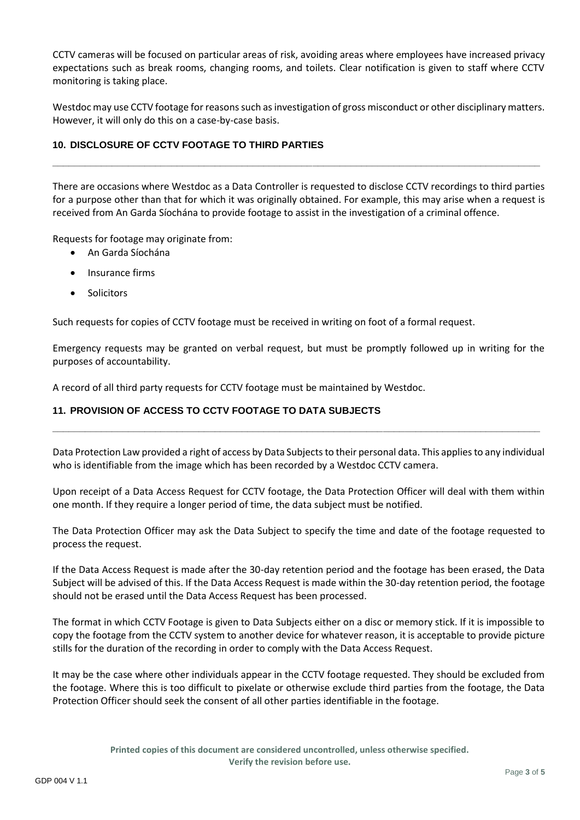CCTV cameras will be focused on particular areas of risk, avoiding areas where employees have increased privacy expectations such as break rooms, changing rooms, and toilets. Clear notification is given to staff where CCTV monitoring is taking place.

Westdoc may use CCTV footage for reasons such as investigation of gross misconduct or other disciplinary matters. However, it will only do this on a case-by-case basis.

# **10. DISCLOSURE OF CCTV FOOTAGE TO THIRD PARTIES**

There are occasions where Westdoc as a Data Controller is requested to disclose CCTV recordings to third parties for a purpose other than that for which it was originally obtained. For example, this may arise when a request is received from An Garda Síochána to provide footage to assist in the investigation of a criminal offence.

**\_\_\_\_\_\_\_\_\_\_\_\_\_\_\_\_\_\_\_\_\_\_\_\_\_\_\_\_\_\_\_\_\_\_\_\_\_\_\_\_\_\_\_\_\_\_\_\_\_\_\_\_\_\_\_\_\_\_\_\_\_\_\_\_\_\_\_\_\_\_\_\_\_\_\_\_\_\_\_\_\_\_\_\_\_\_\_\_\_\_**

Requests for footage may originate from:

- An Garda Síochána
- Insurance firms
- Solicitors

Such requests for copies of CCTV footage must be received in writing on foot of a formal request.

Emergency requests may be granted on verbal request, but must be promptly followed up in writing for the purposes of accountability.

A record of all third party requests for CCTV footage must be maintained by Westdoc.

# **11. PROVISION OF ACCESS TO CCTV FOOTAGE TO DATA SUBJECTS**

Data Protection Law provided a right of access by Data Subjects to their personal data. This applies to any individual who is identifiable from the image which has been recorded by a Westdoc CCTV camera.

**\_\_\_\_\_\_\_\_\_\_\_\_\_\_\_\_\_\_\_\_\_\_\_\_\_\_\_\_\_\_\_\_\_\_\_\_\_\_\_\_\_\_\_\_\_\_\_\_\_\_\_\_\_\_\_\_\_\_\_\_\_\_\_\_\_\_\_\_\_\_\_\_\_\_\_\_\_\_\_\_\_\_\_\_\_\_\_\_\_\_**

Upon receipt of a Data Access Request for CCTV footage, the Data Protection Officer will deal with them within one month. If they require a longer period of time, the data subject must be notified.

The Data Protection Officer may ask the Data Subject to specify the time and date of the footage requested to process the request.

If the Data Access Request is made after the 30-day retention period and the footage has been erased, the Data Subject will be advised of this. If the Data Access Request is made within the 30-day retention period, the footage should not be erased until the Data Access Request has been processed.

The format in which CCTV Footage is given to Data Subjects either on a disc or memory stick. If it is impossible to copy the footage from the CCTV system to another device for whatever reason, it is acceptable to provide picture stills for the duration of the recording in order to comply with the Data Access Request.

It may be the case where other individuals appear in the CCTV footage requested. They should be excluded from the footage. Where this is too difficult to pixelate or otherwise exclude third parties from the footage, the Data Protection Officer should seek the consent of all other parties identifiable in the footage.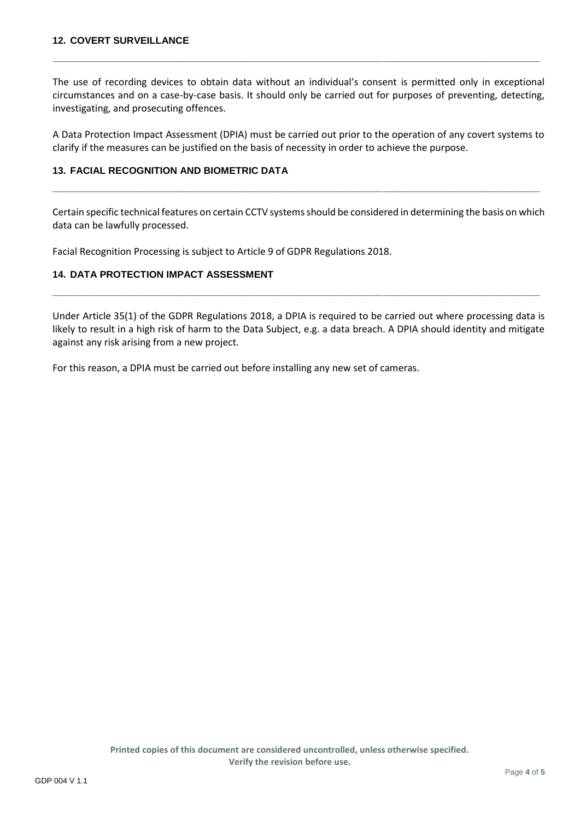The use of recording devices to obtain data without an individual's consent is permitted only in exceptional circumstances and on a case-by-case basis. It should only be carried out for purposes of preventing, detecting, investigating, and prosecuting offences.

**\_\_\_\_\_\_\_\_\_\_\_\_\_\_\_\_\_\_\_\_\_\_\_\_\_\_\_\_\_\_\_\_\_\_\_\_\_\_\_\_\_\_\_\_\_\_\_\_\_\_\_\_\_\_\_\_\_\_\_\_\_\_\_\_\_\_\_\_\_\_\_\_\_\_\_\_\_\_\_\_\_\_\_\_\_\_\_\_\_\_**

A Data Protection Impact Assessment (DPIA) must be carried out prior to the operation of any covert systems to clarify if the measures can be justified on the basis of necessity in order to achieve the purpose.

# **13. FACIAL RECOGNITION AND BIOMETRIC DATA**

Certain specific technical features on certain CCTV systems should be considered in determining the basis on which data can be lawfully processed.

**\_\_\_\_\_\_\_\_\_\_\_\_\_\_\_\_\_\_\_\_\_\_\_\_\_\_\_\_\_\_\_\_\_\_\_\_\_\_\_\_\_\_\_\_\_\_\_\_\_\_\_\_\_\_\_\_\_\_\_\_\_\_\_\_\_\_\_\_\_\_\_\_\_\_\_\_\_\_\_\_\_\_\_\_\_\_\_\_\_\_**

Facial Recognition Processing is subject to Article 9 of GDPR Regulations 2018.

# **14. DATA PROTECTION IMPACT ASSESSMENT**

Under Article 35(1) of the GDPR Regulations 2018, a DPIA is required to be carried out where processing data is likely to result in a high risk of harm to the Data Subject, e.g. a data breach. A DPIA should identity and mitigate against any risk arising from a new project.

**\_\_\_\_\_\_\_\_\_\_\_\_\_\_\_\_\_\_\_\_\_\_\_\_\_\_\_\_\_\_\_\_\_\_\_\_\_\_\_\_\_\_\_\_\_\_\_\_\_\_\_\_\_\_\_\_\_\_\_\_\_\_\_\_\_\_\_\_\_\_\_\_\_\_\_\_\_\_\_\_\_\_\_\_\_\_\_\_\_\_**

For this reason, a DPIA must be carried out before installing any new set of cameras.